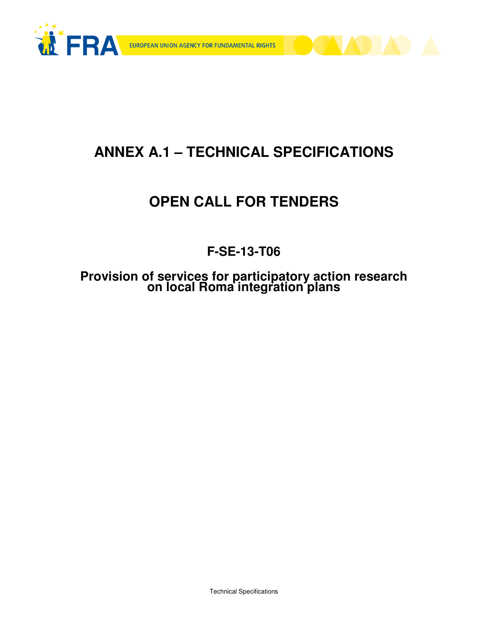



# **ANNEX A.1 – TECHNICAL SPECIFICATIONS**

# **OPEN CALL FOR TENDERS**

## **F-SE-13-T06**

**Provision of services for participatory action research on local Roma integration plans**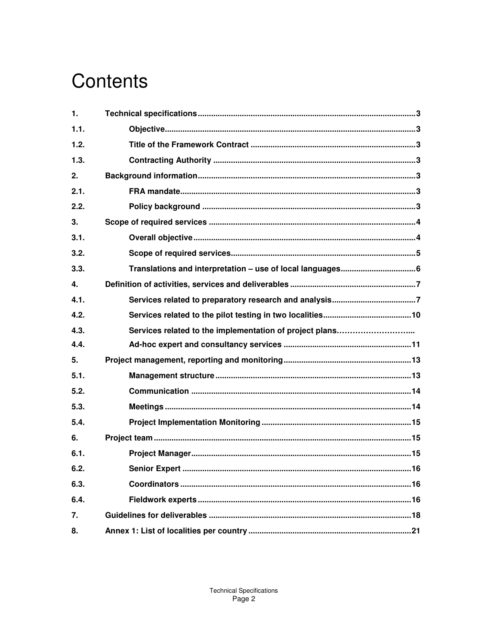# Contents

| 1.   |                                                         |  |  |  |
|------|---------------------------------------------------------|--|--|--|
| 1.1. |                                                         |  |  |  |
| 1.2. |                                                         |  |  |  |
| 1.3. |                                                         |  |  |  |
| 2.   |                                                         |  |  |  |
| 2.1. |                                                         |  |  |  |
| 2.2. |                                                         |  |  |  |
| 3.   |                                                         |  |  |  |
| 3.1. |                                                         |  |  |  |
| 3.2. |                                                         |  |  |  |
| 3.3. |                                                         |  |  |  |
| 4.   |                                                         |  |  |  |
| 4.1. |                                                         |  |  |  |
| 4.2. |                                                         |  |  |  |
| 4.3. | Services related to the implementation of project plans |  |  |  |
| 4.4. |                                                         |  |  |  |
| 5.   |                                                         |  |  |  |
| 5.1. |                                                         |  |  |  |
| 5.2. |                                                         |  |  |  |
| 5.3. |                                                         |  |  |  |
| 5.4. |                                                         |  |  |  |
| 6.   |                                                         |  |  |  |
| 6.1. |                                                         |  |  |  |
| 6.2. |                                                         |  |  |  |
| 6.3. |                                                         |  |  |  |
| 6.4. |                                                         |  |  |  |
| 7.   |                                                         |  |  |  |
| 8.   |                                                         |  |  |  |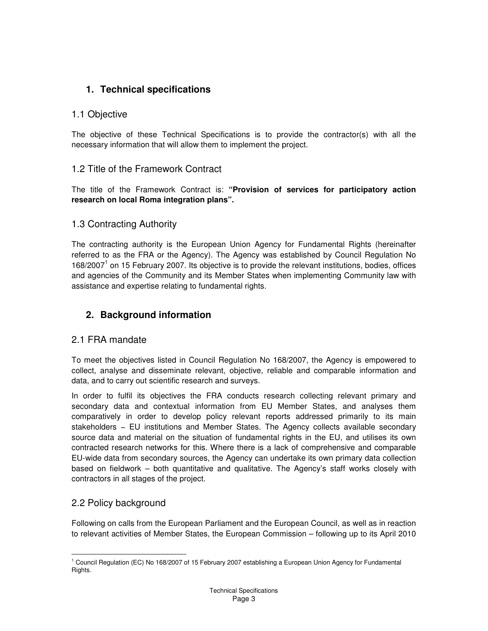## **1. Technical specifications**

## 1.1 Objective

The objective of these Technical Specifications is to provide the contractor(s) with all the necessary information that will allow them to implement the project.

## 1.2 Title of the Framework Contract

The title of the Framework Contract is: **"Provision of services for participatory action research on local Roma integration plans".** 

## 1.3 Contracting Authority

The contracting authority is the European Union Agency for Fundamental Rights (hereinafter referred to as the FRA or the Agency). The Agency was established by Council Regulation No 168/2007<sup>1</sup> on 15 February 2007. Its objective is to provide the relevant institutions, bodies, offices and agencies of the Community and its Member States when implementing Community law with assistance and expertise relating to fundamental rights.

## **2. Background information**

#### 2.1 FRA mandate

To meet the objectives listed in Council Regulation No 168/2007, the Agency is empowered to collect, analyse and disseminate relevant, objective, reliable and comparable information and data, and to carry out scientific research and surveys.

In order to fulfil its objectives the FRA conducts research collecting relevant primary and secondary data and contextual information from EU Member States, and analyses them comparatively in order to develop policy relevant reports addressed primarily to its main stakeholders − EU institutions and Member States. The Agency collects available secondary source data and material on the situation of fundamental rights in the EU, and utilises its own contracted research networks for this. Where there is a lack of comprehensive and comparable EU-wide data from secondary sources, the Agency can undertake its own primary data collection based on fieldwork – both quantitative and qualitative. The Agency's staff works closely with contractors in all stages of the project.

## 2.2 Policy background

Following on calls from the European Parliament and the European Council, as well as in reaction to relevant activities of Member States, the European Commission – following up to its April 2010

 $\overline{a}$ <sup>1</sup> Council Regulation (EC) No 168/2007 of 15 February 2007 establishing a European Union Agency for Fundamental Rights.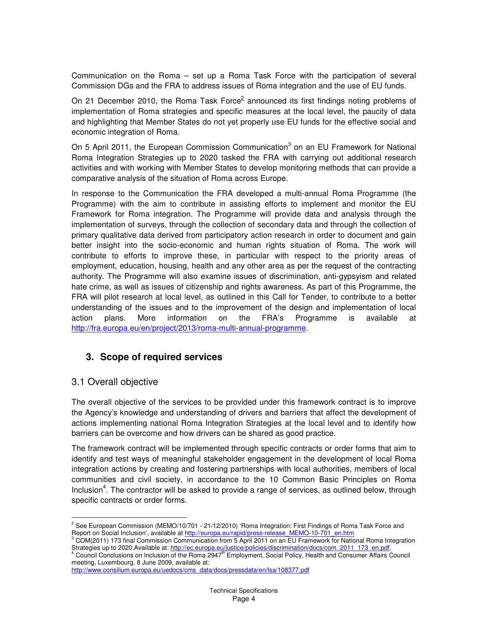Communication on the Roma – set up a Roma Task Force with the participation of several Commission DGs and the FRA to address issues of Roma integration and the use of EU funds.

On 21 December 2010, the Roma Task Force $^2$  announced its first findings noting problems of implementation of Roma strategies and specific measures at the local level, the paucity of data and highlighting that Member States do not yet properly use EU funds for the effective social and economic integration of Roma.

On 5 April 2011, the European Commission Communication<sup>3</sup> on an EU Framework for National Roma Integration Strategies up to 2020 tasked the FRA with carrying out additional research activities and with working with Member States to develop monitoring methods that can provide a comparative analysis of the situation of Roma across Europe.

In response to the Communication the FRA developed a multi-annual Roma Programme (the Programme) with the aim to contribute in assisting efforts to implement and monitor the EU Framework for Roma integration. The Programme will provide data and analysis through the implementation of surveys, through the collection of secondary data and through the collection of primary qualitative data derived from participatory action research in order to document and gain better insight into the socio-economic and human rights situation of Roma. The work will contribute to efforts to improve these, in particular with respect to the priority areas of employment, education, housing, health and any other area as per the request of the contracting authority. The Programme will also examine issues of discrimination, anti-gypsyism and related hate crime, as well as issues of citizenship and rights awareness. As part of this Programme, the FRA will pilot research at local level, as outlined in this Call for Tender, to contribute to a better understanding of the issues and to the improvement of the design and implementation of local action plans. More information on the FRA's Programme is available at http://fra.europa.eu/en/project/2013/roma-multi-annual-programme.

## **3. Scope of required services**

## 3.1 Overall objective

The overall objective of the services to be provided under this framework contract is to improve the Agency's knowledge and understanding of drivers and barriers that affect the development of actions implementing national Roma Integration Strategies at the local level and to identify how barriers can be overcome and how drivers can be shared as good practice.

The framework contract will be implemented through specific contracts or order forms that aim to identify and test ways of meaningful stakeholder engagement in the development of local Roma integration actions by creating and fostering partnerships with local authorities, members of local communities and civil society, in accordance to the 10 Common Basic Principles on Roma Inclusion<sup>4</sup>. The contractor will be asked to provide a range of services, as outlined below, through specific contracts or order forms.

 $\overline{a}$ <sup>2</sup> See European Commission (MEMO/10/701 - 21/12/2010) 'Roma Integration: First Findings of Roma Task Force and Report on Social Inclusion', available at <u>http://europa.eu/rapid/press-release\_MEMO-10-701\_en.htm</u><br><sup>3</sup> COM(2011) 173 final Commission Communication from 5 April 2011 on an EU Framework for National Roma Integration

Strategies up to 2020.Available at: <u>http://ec.europa.eu/justice/policies/discrimination/docs/com\_2011\_173\_en.pdf</u>.<br><sup>4</sup> Council Conclusions on Inclusion of the Roma 2947<sup>th</sup> Employment, Social Policy, Health and Consumer A

meeting, Luxembourg, 8 June 2009, available at:

http://www.consilium.europa.eu/uedocs/cms\_data/docs/pressdata/en/lsa/108377.pdf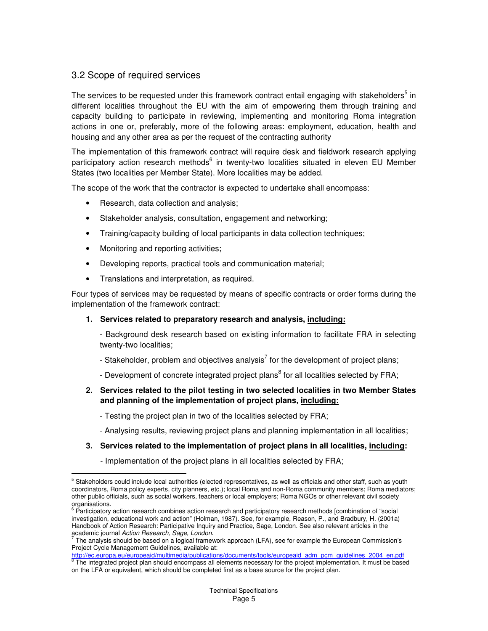## 3.2 Scope of required services

The services to be requested under this framework contract entail engaging with stakeholders<sup>5</sup> in different localities throughout the EU with the aim of empowering them through training and capacity building to participate in reviewing, implementing and monitoring Roma integration actions in one or, preferably, more of the following areas: employment, education, health and housing and any other area as per the request of the contracting authority

The implementation of this framework contract will require desk and fieldwork research applying participatory action research methods<sup>6</sup> in twenty-two localities situated in eleven EU Member States (two localities per Member State). More localities may be added.

The scope of the work that the contractor is expected to undertake shall encompass:

- Research, data collection and analysis;
- Stakeholder analysis, consultation, engagement and networking;
- Training/capacity building of local participants in data collection techniques;
- Monitoring and reporting activities;
- Developing reports, practical tools and communication material;
- Translations and interpretation, as required.

Four types of services may be requested by means of specific contracts or order forms during the implementation of the framework contract:

#### **1. Services related to preparatory research and analysis, including:**

- Background desk research based on existing information to facilitate FRA in selecting twenty-two localities;

- Stakeholder, problem and objectives analysis<sup>7</sup> for the development of project plans;

- Development of concrete integrated project plans<sup>8</sup> for all localities selected by FRA;

**2. Services related to the pilot testing in two selected localities in two Member States and planning of the implementation of project plans, including:** 

- Testing the project plan in two of the localities selected by FRA;

- Analysing results, reviewing project plans and planning implementation in all localities;

#### **3. Services related to the implementation of project plans in all localities, including:**

- Implementation of the project plans in all localities selected by FRA;

 5 Stakeholders could include local authorities (elected representatives, as well as officials and other staff, such as youth coordinators, Roma policy experts, city planners, etc.); local Roma and non-Roma community members; Roma mediators; other public officials, such as social workers, teachers or local employers; Roma NGOs or other relevant civil society

organisations.<br><sup>6</sup> Participatory action research combines action research and participatory research methods [combination of "social investigation, educational work and action" (Holman, 1987). See, for example, Reason, P., and Bradbury, H. (2001a) Handbook of Action Research: Participative Inquiry and Practice, Sage, London. See also relevant articles in the academic journal Action Research, Sage, London.

 $^7$  The analysis should be based on a logical framework approach (LFA), see for example the European Commission's Project Cycle Management Guidelines, available at:

http://ec.europa.eu/europeaid/multimedia/publications/documents/tools/europeaid\_adm\_pcm\_guidelines\_2004\_en.pdf  $8$  The integrated project plan should encompass all elements necessary for the project implementation. It must be based on the LFA or equivalent, which should be completed first as a base source for the project plan.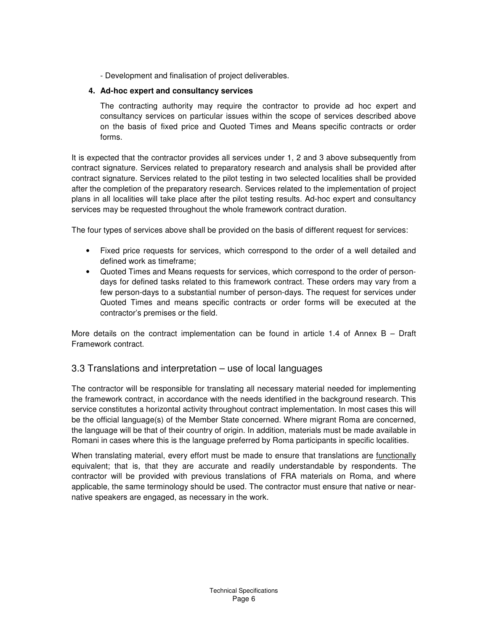- Development and finalisation of project deliverables.

#### **4. Ad-hoc expert and consultancy services**

The contracting authority may require the contractor to provide ad hoc expert and consultancy services on particular issues within the scope of services described above on the basis of fixed price and Quoted Times and Means specific contracts or order forms.

It is expected that the contractor provides all services under 1, 2 and 3 above subsequently from contract signature. Services related to preparatory research and analysis shall be provided after contract signature. Services related to the pilot testing in two selected localities shall be provided after the completion of the preparatory research. Services related to the implementation of project plans in all localities will take place after the pilot testing results. Ad-hoc expert and consultancy services may be requested throughout the whole framework contract duration.

The four types of services above shall be provided on the basis of different request for services:

- Fixed price requests for services, which correspond to the order of a well detailed and defined work as timeframe;
- Quoted Times and Means requests for services, which correspond to the order of persondays for defined tasks related to this framework contract. These orders may vary from a few person-days to a substantial number of person-days. The request for services under Quoted Times and means specific contracts or order forms will be executed at the contractor's premises or the field.

More details on the contract implementation can be found in article 1.4 of Annex  $B - D$ raft Framework contract.

#### 3.3 Translations and interpretation – use of local languages

The contractor will be responsible for translating all necessary material needed for implementing the framework contract, in accordance with the needs identified in the background research. This service constitutes a horizontal activity throughout contract implementation. In most cases this will be the official language(s) of the Member State concerned. Where migrant Roma are concerned, the language will be that of their country of origin. In addition, materials must be made available in Romani in cases where this is the language preferred by Roma participants in specific localities.

When translating material, every effort must be made to ensure that translations are *functionally* equivalent; that is, that they are accurate and readily understandable by respondents. The contractor will be provided with previous translations of FRA materials on Roma, and where applicable, the same terminology should be used. The contractor must ensure that native or nearnative speakers are engaged, as necessary in the work.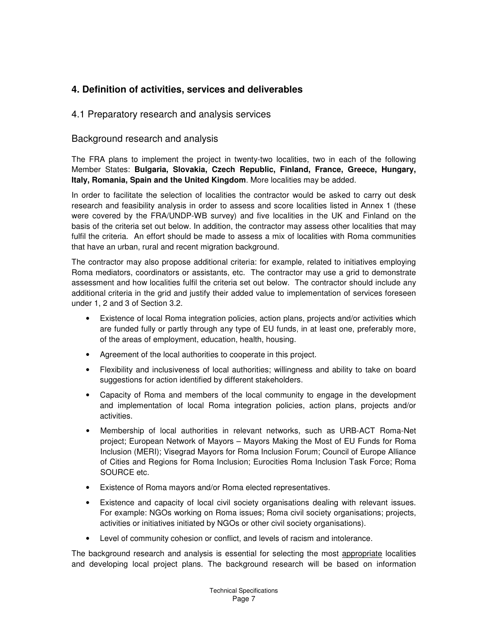## **4. Definition of activities, services and deliverables**

## 4.1 Preparatory research and analysis services

#### Background research and analysis

The FRA plans to implement the project in twenty-two localities, two in each of the following Member States: **Bulgaria, Slovakia, Czech Republic, Finland, France, Greece, Hungary, Italy, Romania, Spain and the United Kingdom**. More localities may be added.

In order to facilitate the selection of localities the contractor would be asked to carry out desk research and feasibility analysis in order to assess and score localities listed in Annex 1 (these were covered by the FRA/UNDP-WB survey) and five localities in the UK and Finland on the basis of the criteria set out below. In addition, the contractor may assess other localities that may fulfil the criteria. An effort should be made to assess a mix of localities with Roma communities that have an urban, rural and recent migration background.

The contractor may also propose additional criteria: for example, related to initiatives employing Roma mediators, coordinators or assistants, etc. The contractor may use a grid to demonstrate assessment and how localities fulfil the criteria set out below. The contractor should include any additional criteria in the grid and justify their added value to implementation of services foreseen under 1, 2 and 3 of Section 3.2.

- Existence of local Roma integration policies, action plans, projects and/or activities which are funded fully or partly through any type of EU funds, in at least one, preferably more, of the areas of employment, education, health, housing.
- Agreement of the local authorities to cooperate in this project.
- Flexibility and inclusiveness of local authorities; willingness and ability to take on board suggestions for action identified by different stakeholders.
- Capacity of Roma and members of the local community to engage in the development and implementation of local Roma integration policies, action plans, projects and/or activities.
- Membership of local authorities in relevant networks, such as URB-ACT Roma-Net project; European Network of Mayors – Mayors Making the Most of EU Funds for Roma Inclusion (MERI); Visegrad Mayors for Roma Inclusion Forum; Council of Europe Alliance of Cities and Regions for Roma Inclusion; Eurocities Roma Inclusion Task Force; Roma SOURCE etc.
- Existence of Roma mayors and/or Roma elected representatives.
- Existence and capacity of local civil society organisations dealing with relevant issues. For example: NGOs working on Roma issues; Roma civil society organisations; projects, activities or initiatives initiated by NGOs or other civil society organisations).
- Level of community cohesion or conflict, and levels of racism and intolerance.

The background research and analysis is essential for selecting the most appropriate localities and developing local project plans. The background research will be based on information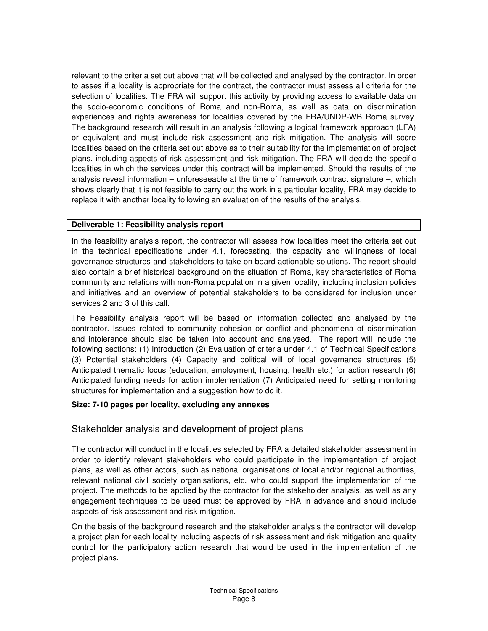relevant to the criteria set out above that will be collected and analysed by the contractor. In order to asses if a locality is appropriate for the contract, the contractor must assess all criteria for the selection of localities. The FRA will support this activity by providing access to available data on the socio-economic conditions of Roma and non-Roma, as well as data on discrimination experiences and rights awareness for localities covered by the FRA/UNDP-WB Roma survey. The background research will result in an analysis following a logical framework approach (LFA) or equivalent and must include risk assessment and risk mitigation. The analysis will score localities based on the criteria set out above as to their suitability for the implementation of project plans, including aspects of risk assessment and risk mitigation. The FRA will decide the specific localities in which the services under this contract will be implemented. Should the results of the analysis reveal information – unforeseeable at the time of framework contract signature –, which shows clearly that it is not feasible to carry out the work in a particular locality, FRA may decide to replace it with another locality following an evaluation of the results of the analysis.

#### **Deliverable 1: Feasibility analysis report**

In the feasibility analysis report, the contractor will assess how localities meet the criteria set out in the technical specifications under 4.1, forecasting, the capacity and willingness of local governance structures and stakeholders to take on board actionable solutions. The report should also contain a brief historical background on the situation of Roma, key characteristics of Roma community and relations with non-Roma population in a given locality, including inclusion policies and initiatives and an overview of potential stakeholders to be considered for inclusion under services 2 and 3 of this call.

The Feasibility analysis report will be based on information collected and analysed by the contractor. Issues related to community cohesion or conflict and phenomena of discrimination and intolerance should also be taken into account and analysed. The report will include the following sections: (1) Introduction (2) Evaluation of criteria under 4.1 of Technical Specifications (3) Potential stakeholders (4) Capacity and political will of local governance structures (5) Anticipated thematic focus (education, employment, housing, health etc.) for action research (6) Anticipated funding needs for action implementation (7) Anticipated need for setting monitoring structures for implementation and a suggestion how to do it.

#### **Size: 7-10 pages per locality, excluding any annexes**

## Stakeholder analysis and development of project plans

The contractor will conduct in the localities selected by FRA a detailed stakeholder assessment in order to identify relevant stakeholders who could participate in the implementation of project plans, as well as other actors, such as national organisations of local and/or regional authorities, relevant national civil society organisations, etc. who could support the implementation of the project. The methods to be applied by the contractor for the stakeholder analysis, as well as any engagement techniques to be used must be approved by FRA in advance and should include aspects of risk assessment and risk mitigation.

On the basis of the background research and the stakeholder analysis the contractor will develop a project plan for each locality including aspects of risk assessment and risk mitigation and quality control for the participatory action research that would be used in the implementation of the project plans.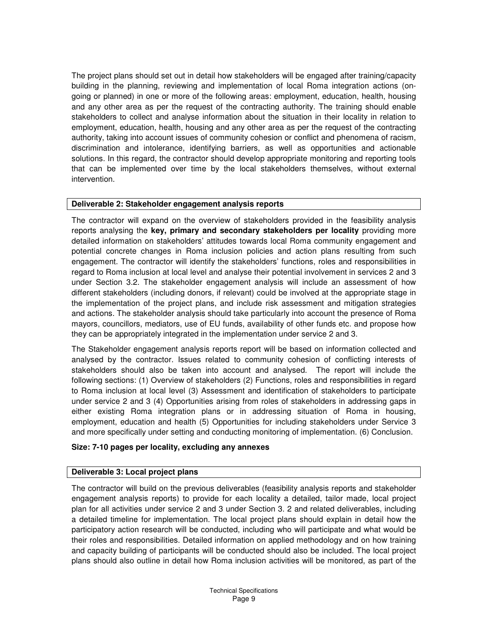The project plans should set out in detail how stakeholders will be engaged after training/capacity building in the planning, reviewing and implementation of local Roma integration actions (ongoing or planned) in one or more of the following areas: employment, education, health, housing and any other area as per the request of the contracting authority. The training should enable stakeholders to collect and analyse information about the situation in their locality in relation to employment, education, health, housing and any other area as per the request of the contracting authority, taking into account issues of community cohesion or conflict and phenomena of racism, discrimination and intolerance, identifying barriers, as well as opportunities and actionable solutions. In this regard, the contractor should develop appropriate monitoring and reporting tools that can be implemented over time by the local stakeholders themselves, without external intervention.

#### **Deliverable 2: Stakeholder engagement analysis reports**

The contractor will expand on the overview of stakeholders provided in the feasibility analysis reports analysing the **key, primary and secondary stakeholders per locality** providing more detailed information on stakeholders' attitudes towards local Roma community engagement and potential concrete changes in Roma inclusion policies and action plans resulting from such engagement. The contractor will identify the stakeholders' functions, roles and responsibilities in regard to Roma inclusion at local level and analyse their potential involvement in services 2 and 3 under Section 3.2. The stakeholder engagement analysis will include an assessment of how different stakeholders (including donors, if relevant) could be involved at the appropriate stage in the implementation of the project plans, and include risk assessment and mitigation strategies and actions. The stakeholder analysis should take particularly into account the presence of Roma mayors, councillors, mediators, use of EU funds, availability of other funds etc. and propose how they can be appropriately integrated in the implementation under service 2 and 3.

The Stakeholder engagement analysis reports report will be based on information collected and analysed by the contractor. Issues related to community cohesion of conflicting interests of stakeholders should also be taken into account and analysed. The report will include the following sections: (1) Overview of stakeholders (2) Functions, roles and responsibilities in regard to Roma inclusion at local level (3) Assessment and identification of stakeholders to participate under service 2 and 3 (4) Opportunities arising from roles of stakeholders in addressing gaps in either existing Roma integration plans or in addressing situation of Roma in housing, employment, education and health (5) Opportunities for including stakeholders under Service 3 and more specifically under setting and conducting monitoring of implementation. (6) Conclusion.

#### **Size: 7-10 pages per locality, excluding any annexes**

#### **Deliverable 3: Local project plans**

The contractor will build on the previous deliverables (feasibility analysis reports and stakeholder engagement analysis reports) to provide for each locality a detailed, tailor made, local project plan for all activities under service 2 and 3 under Section 3. 2 and related deliverables, including a detailed timeline for implementation. The local project plans should explain in detail how the participatory action research will be conducted, including who will participate and what would be their roles and responsibilities. Detailed information on applied methodology and on how training and capacity building of participants will be conducted should also be included. The local project plans should also outline in detail how Roma inclusion activities will be monitored, as part of the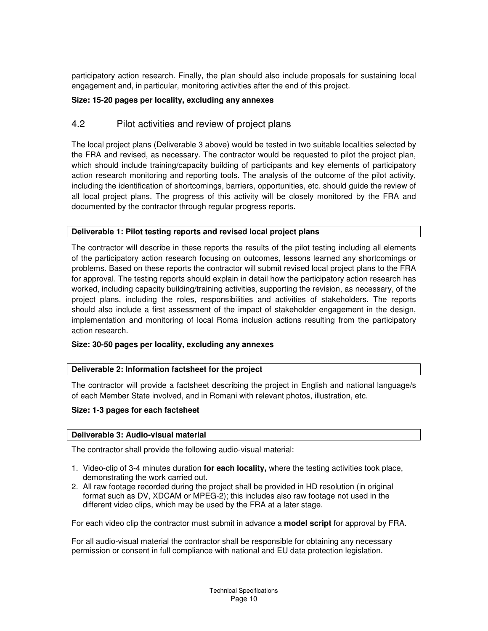participatory action research. Finally, the plan should also include proposals for sustaining local engagement and, in particular, monitoring activities after the end of this project.

#### **Size: 15-20 pages per locality, excluding any annexes**

## 4.2 Pilot activities and review of project plans

The local project plans (Deliverable 3 above) would be tested in two suitable localities selected by the FRA and revised, as necessary. The contractor would be requested to pilot the project plan, which should include training/capacity building of participants and key elements of participatory action research monitoring and reporting tools. The analysis of the outcome of the pilot activity, including the identification of shortcomings, barriers, opportunities, etc. should guide the review of all local project plans. The progress of this activity will be closely monitored by the FRA and documented by the contractor through regular progress reports.

#### **Deliverable 1: Pilot testing reports and revised local project plans**

The contractor will describe in these reports the results of the pilot testing including all elements of the participatory action research focusing on outcomes, lessons learned any shortcomings or problems. Based on these reports the contractor will submit revised local project plans to the FRA for approval. The testing reports should explain in detail how the participatory action research has worked, including capacity building/training activities, supporting the revision, as necessary, of the project plans, including the roles, responsibilities and activities of stakeholders. The reports should also include a first assessment of the impact of stakeholder engagement in the design, implementation and monitoring of local Roma inclusion actions resulting from the participatory action research.

#### **Size: 30-50 pages per locality, excluding any annexes**

#### **Deliverable 2: Information factsheet for the project**

The contractor will provide a factsheet describing the project in English and national language/s of each Member State involved, and in Romani with relevant photos, illustration, etc.

#### **Size: 1-3 pages for each factsheet**

#### **Deliverable 3: Audio-visual material**

The contractor shall provide the following audio-visual material:

- 1. Video-clip of 3-4 minutes duration **for each locality,** where the testing activities took place, demonstrating the work carried out.
- 2. All raw footage recorded during the project shall be provided in HD resolution (in original format such as DV, XDCAM or MPEG-2); this includes also raw footage not used in the different video clips, which may be used by the FRA at a later stage.

For each video clip the contractor must submit in advance a **model script** for approval by FRA.

For all audio-visual material the contractor shall be responsible for obtaining any necessary permission or consent in full compliance with national and EU data protection legislation.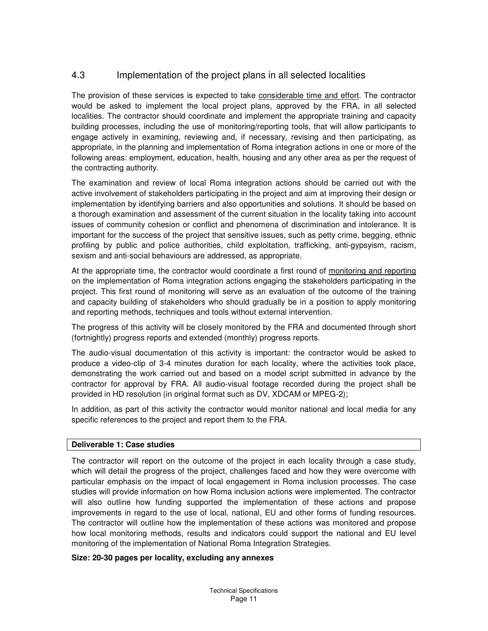## 4.3 Implementation of the project plans in all selected localities

The provision of these services is expected to take considerable time and effort. The contractor would be asked to implement the local project plans, approved by the FRA, in all selected localities. The contractor should coordinate and implement the appropriate training and capacity building processes, including the use of monitoring/reporting tools, that will allow participants to engage actively in examining, reviewing and, if necessary, revising and then participating, as appropriate, in the planning and implementation of Roma integration actions in one or more of the following areas: employment, education, health, housing and any other area as per the request of the contracting authority.

The examination and review of local Roma integration actions should be carried out with the active involvement of stakeholders participating in the project and aim at improving their design or implementation by identifying barriers and also opportunities and solutions. It should be based on a thorough examination and assessment of the current situation in the locality taking into account issues of community cohesion or conflict and phenomena of discrimination and intolerance. It is important for the success of the project that sensitive issues, such as petty crime, begging, ethnic profiling by public and police authorities, child exploitation, trafficking, anti-gypsyism, racism, sexism and anti-social behaviours are addressed, as appropriate.

At the appropriate time, the contractor would coordinate a first round of monitoring and reporting on the implementation of Roma integration actions engaging the stakeholders participating in the project. This first round of monitoring will serve as an evaluation of the outcome of the training and capacity building of stakeholders who should gradually be in a position to apply monitoring and reporting methods, techniques and tools without external intervention.

The progress of this activity will be closely monitored by the FRA and documented through short (fortnightly) progress reports and extended (monthly) progress reports.

The audio-visual documentation of this activity is important: the contractor would be asked to produce a video-clip of 3-4 minutes duration for each locality, where the activities took place, demonstrating the work carried out and based on a model script submitted in advance by the contractor for approval by FRA. All audio-visual footage recorded during the project shall be provided in HD resolution (in original format such as DV, XDCAM or MPEG-2);

In addition, as part of this activity the contractor would monitor national and local media for any specific references to the project and report them to the FRA.

#### **Deliverable 1: Case studies**

The contractor will report on the outcome of the project in each locality through a case study, which will detail the progress of the project, challenges faced and how they were overcome with particular emphasis on the impact of local engagement in Roma inclusion processes. The case studies will provide information on how Roma inclusion actions were implemented. The contractor will also outline how funding supported the implementation of these actions and propose improvements in regard to the use of local, national, EU and other forms of funding resources. The contractor will outline how the implementation of these actions was monitored and propose how local monitoring methods, results and indicators could support the national and EU level monitoring of the implementation of National Roma Integration Strategies.

#### **Size: 20-30 pages per locality, excluding any annexes**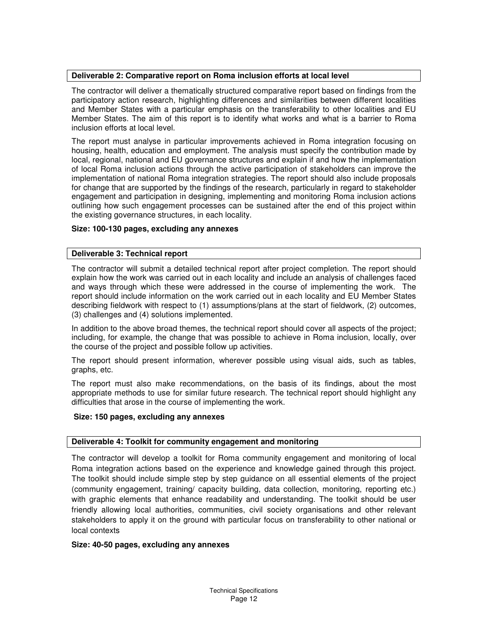#### **Deliverable 2: Comparative report on Roma inclusion efforts at local level**

The contractor will deliver a thematically structured comparative report based on findings from the participatory action research, highlighting differences and similarities between different localities and Member States with a particular emphasis on the transferability to other localities and EU Member States. The aim of this report is to identify what works and what is a barrier to Roma inclusion efforts at local level.

The report must analyse in particular improvements achieved in Roma integration focusing on housing, health, education and employment. The analysis must specify the contribution made by local, regional, national and EU governance structures and explain if and how the implementation of local Roma inclusion actions through the active participation of stakeholders can improve the implementation of national Roma integration strategies. The report should also include proposals for change that are supported by the findings of the research, particularly in regard to stakeholder engagement and participation in designing, implementing and monitoring Roma inclusion actions outlining how such engagement processes can be sustained after the end of this project within the existing governance structures, in each locality.

#### **Size: 100-130 pages, excluding any annexes**

#### **Deliverable 3: Technical report**

The contractor will submit a detailed technical report after project completion. The report should explain how the work was carried out in each locality and include an analysis of challenges faced and ways through which these were addressed in the course of implementing the work. The report should include information on the work carried out in each locality and EU Member States describing fieldwork with respect to (1) assumptions/plans at the start of fieldwork, (2) outcomes, (3) challenges and (4) solutions implemented.

In addition to the above broad themes, the technical report should cover all aspects of the project; including, for example, the change that was possible to achieve in Roma inclusion, locally, over the course of the project and possible follow up activities.

The report should present information, wherever possible using visual aids, such as tables, graphs, etc.

The report must also make recommendations, on the basis of its findings, about the most appropriate methods to use for similar future research. The technical report should highlight any difficulties that arose in the course of implementing the work.

#### **Size: 150 pages, excluding any annexes**

#### **Deliverable 4: Toolkit for community engagement and monitoring**

The contractor will develop a toolkit for Roma community engagement and monitoring of local Roma integration actions based on the experience and knowledge gained through this project. The toolkit should include simple step by step guidance on all essential elements of the project (community engagement, training/ capacity building, data collection, monitoring, reporting etc.) with graphic elements that enhance readability and understanding. The toolkit should be user friendly allowing local authorities, communities, civil society organisations and other relevant stakeholders to apply it on the ground with particular focus on transferability to other national or local contexts

#### **Size: 40-50 pages, excluding any annexes**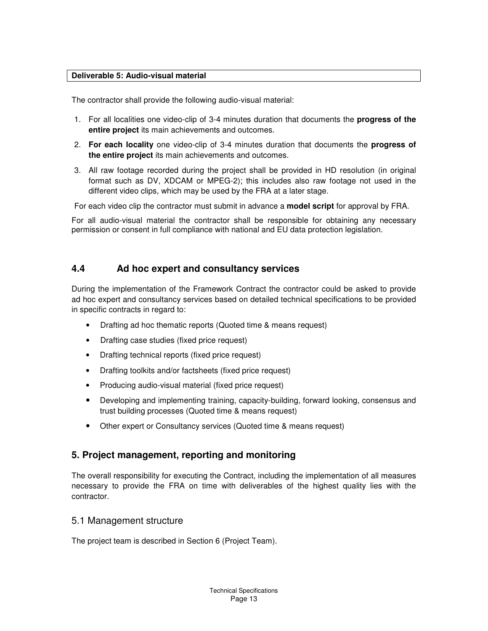#### **Deliverable 5: Audio-visual material**

The contractor shall provide the following audio-visual material:

- 1. For all localities one video-clip of 3-4 minutes duration that documents the **progress of the entire project** its main achievements and outcomes.
- 2. **For each locality** one video-clip of 3-4 minutes duration that documents the **progress of the entire project** its main achievements and outcomes.
- 3. All raw footage recorded during the project shall be provided in HD resolution (in original format such as DV, XDCAM or MPEG-2); this includes also raw footage not used in the different video clips, which may be used by the FRA at a later stage.

For each video clip the contractor must submit in advance a **model script** for approval by FRA.

For all audio-visual material the contractor shall be responsible for obtaining any necessary permission or consent in full compliance with national and EU data protection legislation.

#### **4.4 Ad hoc expert and consultancy services**

During the implementation of the Framework Contract the contractor could be asked to provide ad hoc expert and consultancy services based on detailed technical specifications to be provided in specific contracts in regard to:

- Drafting ad hoc thematic reports (Quoted time & means request)
- Drafting case studies (fixed price request)
- Drafting technical reports (fixed price request)
- Drafting toolkits and/or factsheets (fixed price request)
- Producing audio-visual material (fixed price request)
- Developing and implementing training, capacity-building, forward looking, consensus and trust building processes (Quoted time & means request)
- Other expert or Consultancy services (Quoted time & means request)

#### **5. Project management, reporting and monitoring**

The overall responsibility for executing the Contract, including the implementation of all measures necessary to provide the FRA on time with deliverables of the highest quality lies with the contractor.

#### 5.1 Management structure

The project team is described in Section 6 (Project Team).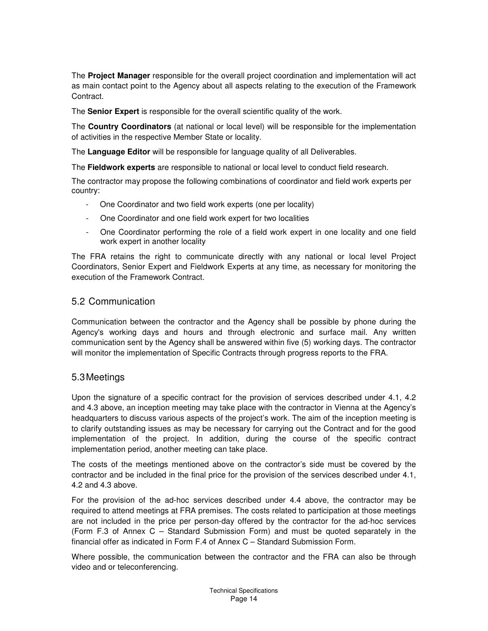The **Project Manager** responsible for the overall project coordination and implementation will act as main contact point to the Agency about all aspects relating to the execution of the Framework Contract.

The **Senior Expert** is responsible for the overall scientific quality of the work.

The **Country Coordinators** (at national or local level) will be responsible for the implementation of activities in the respective Member State or locality.

The **Language Editor** will be responsible for language quality of all Deliverables.

The **Fieldwork experts** are responsible to national or local level to conduct field research.

The contractor may propose the following combinations of coordinator and field work experts per country:

- One Coordinator and two field work experts (one per locality)
- One Coordinator and one field work expert for two localities
- One Coordinator performing the role of a field work expert in one locality and one field work expert in another locality

The FRA retains the right to communicate directly with any national or local level Project Coordinators, Senior Expert and Fieldwork Experts at any time, as necessary for monitoring the execution of the Framework Contract.

#### 5.2 Communication

Communication between the contractor and the Agency shall be possible by phone during the Agency's working days and hours and through electronic and surface mail. Any written communication sent by the Agency shall be answered within five (5) working days. The contractor will monitor the implementation of Specific Contracts through progress reports to the FRA.

#### 5.3 Meetings

Upon the signature of a specific contract for the provision of services described under 4.1, 4.2 and 4.3 above, an inception meeting may take place with the contractor in Vienna at the Agency's headquarters to discuss various aspects of the project's work. The aim of the inception meeting is to clarify outstanding issues as may be necessary for carrying out the Contract and for the good implementation of the project. In addition, during the course of the specific contract implementation period, another meeting can take place.

The costs of the meetings mentioned above on the contractor's side must be covered by the contractor and be included in the final price for the provision of the services described under 4.1, 4.2 and 4.3 above.

For the provision of the ad-hoc services described under 4.4 above, the contractor may be required to attend meetings at FRA premises. The costs related to participation at those meetings are not included in the price per person-day offered by the contractor for the ad-hoc services (Form F.3 of Annex C – Standard Submission Form) and must be quoted separately in the financial offer as indicated in Form F.4 of Annex C – Standard Submission Form.

Where possible, the communication between the contractor and the FRA can also be through video and or teleconferencing.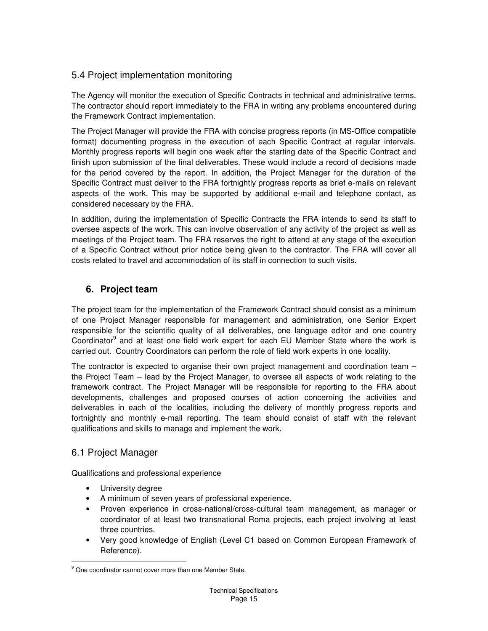## 5.4 Project implementation monitoring

The Agency will monitor the execution of Specific Contracts in technical and administrative terms. The contractor should report immediately to the FRA in writing any problems encountered during the Framework Contract implementation.

The Project Manager will provide the FRA with concise progress reports (in MS-Office compatible format) documenting progress in the execution of each Specific Contract at regular intervals. Monthly progress reports will begin one week after the starting date of the Specific Contract and finish upon submission of the final deliverables. These would include a record of decisions made for the period covered by the report. In addition, the Project Manager for the duration of the Specific Contract must deliver to the FRA fortnightly progress reports as brief e-mails on relevant aspects of the work. This may be supported by additional e-mail and telephone contact, as considered necessary by the FRA.

In addition, during the implementation of Specific Contracts the FRA intends to send its staff to oversee aspects of the work. This can involve observation of any activity of the project as well as meetings of the Project team. The FRA reserves the right to attend at any stage of the execution of a Specific Contract without prior notice being given to the contractor. The FRA will cover all costs related to travel and accommodation of its staff in connection to such visits.

## **6. Project team**

The project team for the implementation of the Framework Contract should consist as a minimum of one Project Manager responsible for management and administration, one Senior Expert responsible for the scientific quality of all deliverables, one language editor and one country Coordinator<sup>9</sup> and at least one field work expert for each EU Member State where the work is carried out. Country Coordinators can perform the role of field work experts in one locality.

The contractor is expected to organise their own project management and coordination team – the Project Team – lead by the Project Manager, to oversee all aspects of work relating to the framework contract. The Project Manager will be responsible for reporting to the FRA about developments, challenges and proposed courses of action concerning the activities and deliverables in each of the localities, including the delivery of monthly progress reports and fortnightly and monthly e-mail reporting. The team should consist of staff with the relevant qualifications and skills to manage and implement the work.

## 6.1 Project Manager

Qualifications and professional experience

- University degree
- A minimum of seven years of professional experience.
- Proven experience in cross-national/cross-cultural team management, as manager or coordinator of at least two transnational Roma projects, each project involving at least three countries.
- Very good knowledge of English (Level C1 based on Common European Framework of Reference).

 9 One coordinator cannot cover more than one Member State.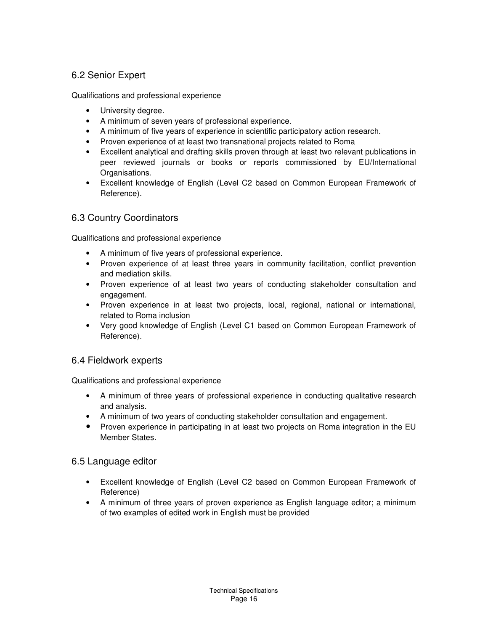## 6.2 Senior Expert

Qualifications and professional experience

- University degree.
- A minimum of seven years of professional experience.
- A minimum of five years of experience in scientific participatory action research.
- Proven experience of at least two transnational projects related to Roma
- Excellent analytical and drafting skills proven through at least two relevant publications in peer reviewed journals or books or reports commissioned by EU/International Organisations.
- Excellent knowledge of English (Level C2 based on Common European Framework of Reference).

## 6.3 Country Coordinators

Qualifications and professional experience

- A minimum of five years of professional experience.
- Proven experience of at least three years in community facilitation, conflict prevention and mediation skills.
- Proven experience of at least two years of conducting stakeholder consultation and engagement.
- Proven experience in at least two projects, local, regional, national or international, related to Roma inclusion
- Very good knowledge of English (Level C1 based on Common European Framework of Reference).

## 6.4 Fieldwork experts

Qualifications and professional experience

- A minimum of three years of professional experience in conducting qualitative research and analysis.
- A minimum of two years of conducting stakeholder consultation and engagement.
- Proven experience in participating in at least two projects on Roma integration in the EU Member States.

#### 6.5 Language editor

- Excellent knowledge of English (Level C2 based on Common European Framework of Reference)
- A minimum of three years of proven experience as English language editor; a minimum of two examples of edited work in English must be provided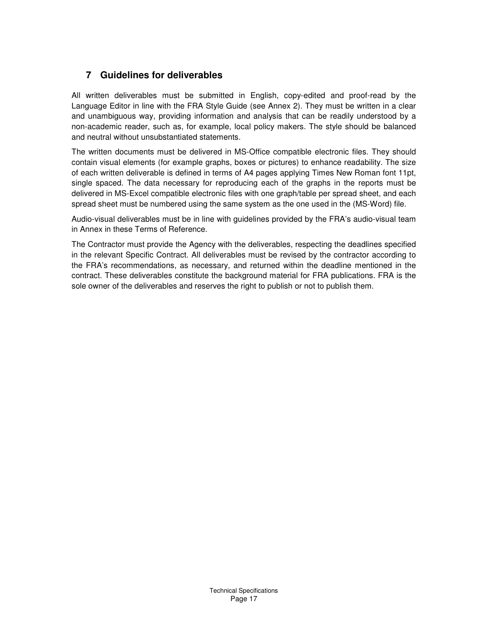## **7 Guidelines for deliverables**

All written deliverables must be submitted in English, copy-edited and proof-read by the Language Editor in line with the FRA Style Guide (see Annex 2). They must be written in a clear and unambiguous way, providing information and analysis that can be readily understood by a non-academic reader, such as, for example, local policy makers. The style should be balanced and neutral without unsubstantiated statements.

The written documents must be delivered in MS-Office compatible electronic files. They should contain visual elements (for example graphs, boxes or pictures) to enhance readability. The size of each written deliverable is defined in terms of A4 pages applying Times New Roman font 11pt, single spaced. The data necessary for reproducing each of the graphs in the reports must be delivered in MS-Excel compatible electronic files with one graph/table per spread sheet, and each spread sheet must be numbered using the same system as the one used in the (MS-Word) file.

Audio-visual deliverables must be in line with guidelines provided by the FRA's audio-visual team in Annex in these Terms of Reference.

The Contractor must provide the Agency with the deliverables, respecting the deadlines specified in the relevant Specific Contract. All deliverables must be revised by the contractor according to the FRA's recommendations, as necessary, and returned within the deadline mentioned in the contract. These deliverables constitute the background material for FRA publications. FRA is the sole owner of the deliverables and reserves the right to publish or not to publish them.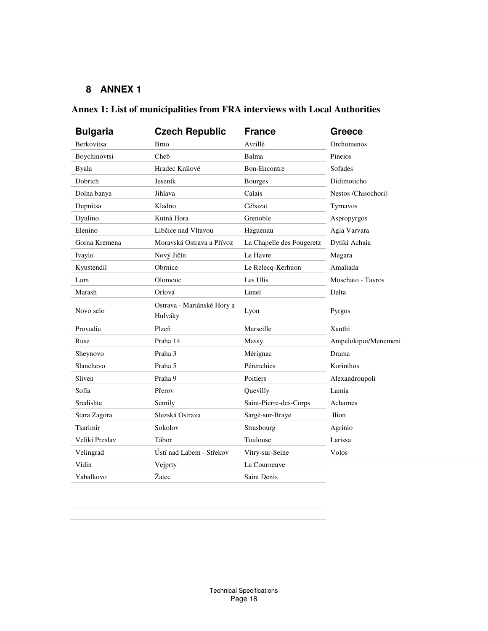## **8 ANNEX 1**

## **Annex 1: List of municipalities from FRA interviews with Local Authorities**

| <b>Bulgaria</b>   | <b>Czech Republic</b>                 | <b>France</b>             | Greece               |
|-------------------|---------------------------------------|---------------------------|----------------------|
| <b>Berkovitsa</b> | <b>Brno</b>                           | Avrillé                   | Orchomenos           |
| Boychinovtsi      | Cheb                                  | Balma                     | Pineios              |
| <b>Byala</b>      | Hradec Králové                        | <b>Bon-Encontre</b>       | Sofades              |
| <b>Dobrich</b>    | Jeseník                               | <b>Bourges</b>            | Didimoticho          |
| Dolna banya       | Jihlava                               | Calais                    | Nestos /Chisochori)  |
| Dupnitsa          | Kladno                                | Cébazat                   | Tyrnavos             |
| Dyulino           | Kutná Hora                            | Grenoble                  | Aspropyrgos          |
| Elenino           | Libčice nad Vltavou                   | Haguenau                  | Agia Varvara         |
| Gorna Kremena     | Moravská Ostrava a Přívoz             | La Chapelle des Fougeretz | Dytiki Achaia        |
| Ivaylo            | Nový Jičín                            | Le Havre                  | Megara               |
| Kyustendil        | Obrnice                               | Le Relecq-Kerhuon         | Amaliada             |
| Lom               | Olomouc                               | Les Ulis                  | Moschato - Tavros    |
| Marash            | Orlová                                | Lunel                     | Delta                |
| Novo selo         | Ostrava - Mariánské Hory a<br>Hulváky | Lyon                      | Pyrgos               |
| Provadia          | Plzeň                                 | Marseille                 | Xanthi               |
| Ruse              | Praha 14                              | Massy                     | Ampelokipoi/Menemeni |
| Sheynovo          | Praha 3                               | Mérignac                  | Drama                |
| Slanchevo         | Praha 5                               | Pérenchies                | Korinthos            |
| Sliven            | Praha 9                               | Poitiers                  | Alexandroupoli       |
| Sofia             | Přerov                                | Quevilly                  | Lamia                |
| Sredishte         | Semily                                | Saint-Pierre-des-Corps    | Acharnes             |
| Stara Zagora      | Slezská Ostrava                       | Sargé-sur-Braye           | Ilion                |
| Tsarimir          | Sokolov                               | Strasbourg                | Agrinio              |
| Veliki Preslav    | Tábor                                 | Toulouse                  | Larissa              |
| Velingrad         | Ústí nad Labem - Střekov              | Vitry-sur-Seine           | Volos                |
| Vidin             | Vejprty                               | La Courneuve              |                      |
| Yabalkovo         | Žatec                                 | Saint Denis               |                      |
|                   |                                       |                           |                      |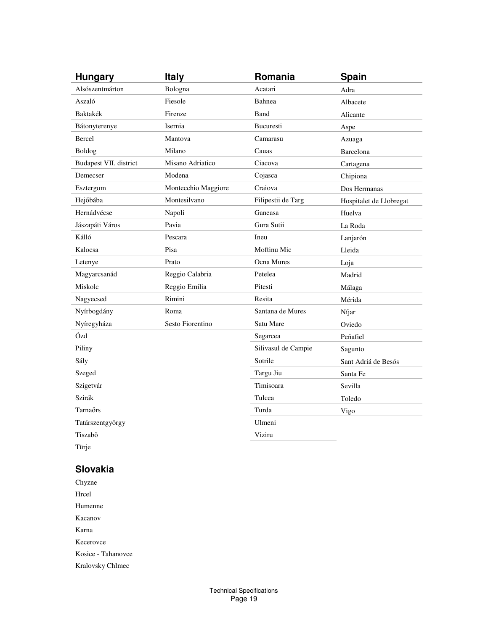| <b>Hungary</b>         | Italy               | Romania             | <b>Spain</b>            |
|------------------------|---------------------|---------------------|-------------------------|
| Alsószentmárton        | Bologna             | Acatari             | Adra                    |
| Aszaló                 | Fiesole             | Bahnea              | Albacete                |
| Baktakék               | Firenze             | Band                | Alicante                |
| Bátonyterenye          | Isernia             | Bucuresti           | Aspe                    |
| Bercel                 | Mantova             | Camarasu            | Azuaga                  |
| Boldog                 | Milano              | Cauas               | Barcelona               |
| Budapest VII. district | Misano Adriatico    | Ciacova             | Cartagena               |
| Demecser               | Modena              | Cojasca             | Chipiona                |
| Esztergom              | Montecchio Maggiore | Craiova             | Dos Hermanas            |
| Hejőbába               | Montesilvano        | Filipestii de Targ  | Hospitalet de Llobregat |
| Hernádvécse            | Napoli              | Ganeasa             | Huelva                  |
| Jászapáti Város        | Pavia               | Gura Sutii          | La Roda                 |
| Kálló                  | Pescara             | Ineu                | Lanjarón                |
| Kalocsa                | Pisa                | Moftinu Mic         | Lleida                  |
| Letenye                | Prato               | Ocna Mures          | Loja                    |
| Magyarcsanád           | Reggio Calabria     | Petelea             | Madrid                  |
| Miskolc                | Reggio Emilia       | Pitesti             | Málaga                  |
| Nagyecsed              | Rimini              | Resita              | Mérida                  |
| Nyírbogdány            | Roma                | Santana de Mures    | Níjar                   |
| Nyíregyháza            | Sesto Fiorentino    | Satu Mare           | Oviedo                  |
| Ózd                    |                     | Segarcea            | Peñafiel                |
| Piliny                 |                     | Silivasul de Campie | Sagunto                 |
| Sály                   |                     | Sotrile             | Sant Adriá de Besós     |
| Szeged                 |                     | Targu Jiu           | Santa Fe                |
| Szigetvár              |                     | Timisoara           | Sevilla                 |
| Szirák                 |                     | Tulcea              | Toledo                  |
| Tarnaőrs               |                     | Turda               | Vigo                    |
| Tatárszentgyörgy       |                     | Ulmeni              |                         |
| Tiszabő                |                     | Viziru              |                         |
| Türje                  |                     |                     |                         |

## **Slovakia**

| Chyzne                  |
|-------------------------|
| Hrcel                   |
| Humenne                 |
| Kacanov                 |
| Karna                   |
| Kecerovce               |
| Kosice - Tahanovce      |
| <b>Kralovsky Chlmec</b> |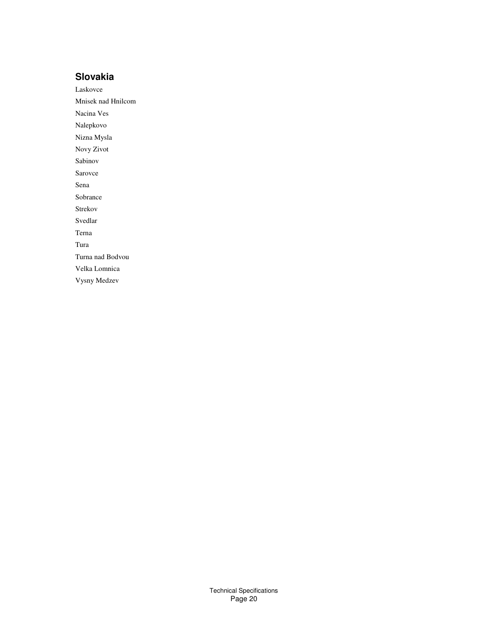## **Slovakia**

Laskovce Mnisek nad Hnilcom Nacina Ves Nalepkovo Nizna Mysla Novy Zivot Sabinov Sarovce Sena Sobrance Strekov Svedlar Terna Tura Turna nad Bodvou Velka Lomnica Vysny Medzev